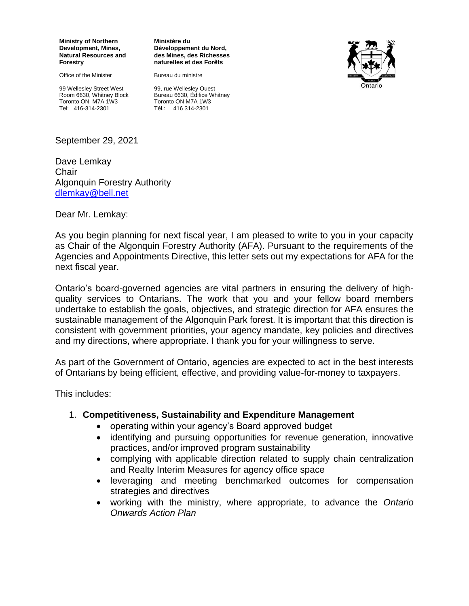**Ministry of Northern Development, Mines, Natural Resources and Forestry**

Office of the Minister

99 Wellesley Street West Room 6630, Whitney Block Toronto ON M7A 1W3 Tel: 416-314-2301

**Ministère du Développement du Nord, des Mines, des Richesses naturelles et des Forêts**

Bureau du ministre



99, rue Wellesley Ouest Bureau 6630, Édifice Whitney Toronto ON M7A 1W3  $T$ él $\cdot$  416 314-2301

September 29, 2021

Dave Lemkay **Chair** Algonquin Forestry Authority [dlemkay@bell.net](mailto:dlemkay@bell.net)

Dear Mr. Lemkay:

As you begin planning for next fiscal year, I am pleased to write to you in your capacity as Chair of the Algonquin Forestry Authority (AFA). Pursuant to the requirements of the Agencies and Appointments Directive, this letter sets out my expectations for AFA for the next fiscal year.

Ontario's board-governed agencies are vital partners in ensuring the delivery of highquality services to Ontarians. The work that you and your fellow board members undertake to establish the goals, objectives, and strategic direction for AFA ensures the sustainable management of the Algonquin Park forest. It is important that this direction is consistent with government priorities, your agency mandate, key policies and directives and my directions, where appropriate. I thank you for your willingness to serve.

As part of the Government of Ontario, agencies are expected to act in the best interests of Ontarians by being efficient, effective, and providing value-for-money to taxpayers.

This includes:

### 1. **Competitiveness, Sustainability and Expenditure Management**

- operating within your agency's Board approved budget
- identifying and pursuing opportunities for revenue generation, innovative practices, and/or improved program sustainability
- complying with applicable direction related to supply chain centralization and Realty Interim Measures for agency office space
- leveraging and meeting benchmarked outcomes for compensation strategies and directives
- working with the ministry, where appropriate, to advance the *Ontario Onwards Action Plan*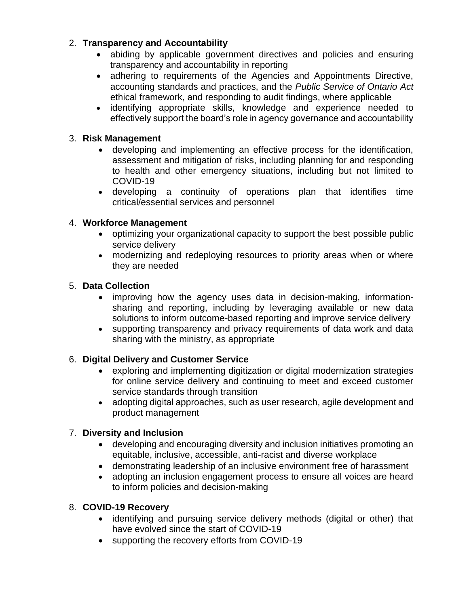# 2. **Transparency and Accountability**

- abiding by applicable government directives and policies and ensuring transparency and accountability in reporting
- adhering to requirements of the Agencies and Appointments Directive, accounting standards and practices, and the *Public Service of Ontario Act* ethical framework, and responding to audit findings, where applicable
- identifying appropriate skills, knowledge and experience needed to effectively support the board's role in agency governance and accountability

# 3. **Risk Management**

- developing and implementing an effective process for the identification, assessment and mitigation of risks, including planning for and responding to health and other emergency situations, including but not limited to COVID-19
- developing a continuity of operations plan that identifies time critical/essential services and personnel

## 4. **Workforce Management**

- optimizing your organizational capacity to support the best possible public service delivery
- modernizing and redeploying resources to priority areas when or where they are needed

## 5. **Data Collection**

- improving how the agency uses data in decision-making, informationsharing and reporting, including by leveraging available or new data solutions to inform outcome-based reporting and improve service delivery
- supporting transparency and privacy requirements of data work and data sharing with the ministry, as appropriate

# 6. **Digital Delivery and Customer Service**

- exploring and implementing digitization or digital modernization strategies for online service delivery and continuing to meet and exceed customer service standards through transition
- adopting digital approaches, such as user research, agile development and product management

# 7. **Diversity and Inclusion**

- developing and encouraging diversity and inclusion initiatives promoting an equitable, inclusive, accessible, anti-racist and diverse workplace
- demonstrating leadership of an inclusive environment free of harassment
- adopting an inclusion engagement process to ensure all voices are heard to inform policies and decision-making

# 8. **COVID-19 Recovery**

- identifying and pursuing service delivery methods (digital or other) that have evolved since the start of COVID-19
- supporting the recovery efforts from COVID-19